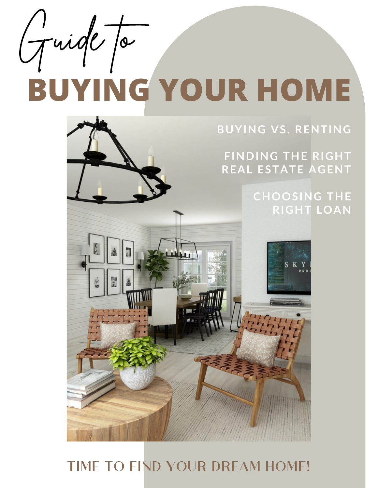Guide Ja

## **BUYING YOUR HOME**

**BUYING VS. RENTING**

**FINDING THE RIGHT REAL ESTATE AGENT**

> **CHOOSING THE RIGHT LOAN**



## TIME TO FIND YOUR DREAM HOME!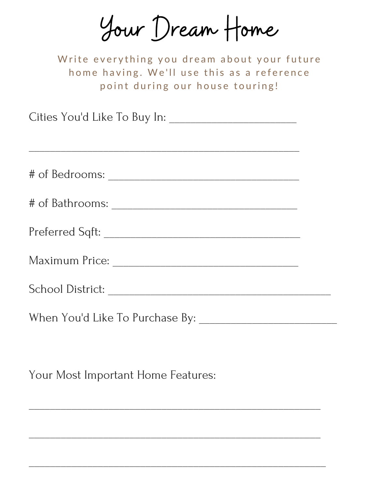Your Dream Home

Write everything you dream about your future home having. We'll use this as a reference point during our house touring!

Cities You'd Like To Buy In: \_\_\_\_\_\_\_\_\_\_\_\_\_\_\_\_\_\_\_\_\_\_\_\_

# of Bedrooms: \_\_\_\_\_\_\_\_\_\_\_\_\_\_\_\_\_\_\_\_\_\_\_\_\_\_\_\_\_\_\_\_\_\_\_\_ # of Bathrooms: \_\_\_\_\_\_\_\_\_\_\_\_\_\_\_\_\_\_\_\_\_\_\_\_\_\_\_\_\_\_\_\_\_\_\_ Preferred Sqft: \_\_\_\_\_\_\_\_\_\_\_\_\_\_\_\_\_\_\_\_\_\_\_\_\_\_\_\_\_\_\_\_\_\_\_\_\_ Maximum Price: \_\_\_\_\_\_\_\_\_\_\_\_\_\_\_\_\_\_\_\_\_\_\_\_\_\_\_\_\_\_\_\_\_\_\_ School District: \_\_\_\_\_\_\_\_\_\_\_\_\_\_\_\_\_\_\_\_\_\_\_\_\_\_\_\_\_\_\_\_\_\_\_\_\_\_\_\_\_\_ When You'd Like To Purchase By: \_\_\_\_\_\_\_\_\_\_\_\_\_\_\_\_\_\_\_\_\_\_\_\_\_\_

 $\overline{\phantom{a}}$  , and the contract of the contract of the contract of the contract of the contract of the contract of the contract of the contract of the contract of the contract of the contract of the contract of the contrac

 $\overline{\phantom{a}}$  , and the contract of the contract of the contract of the contract of the contract of the contract of the contract of the contract of the contract of the contract of the contract of the contract of the contrac

\_\_\_\_\_\_\_\_\_\_\_\_\_\_\_\_\_\_\_\_\_\_\_\_\_\_\_\_\_\_\_\_\_\_\_\_\_\_\_\_\_\_\_\_\_\_\_\_\_\_\_\_\_\_\_\_

Your Most Important Home Features: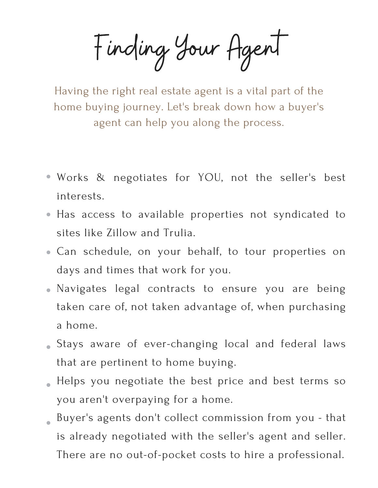Finding Your Agent

Having the right real estate agent is a vital part of the home buying journey. Let's break down how a buyer's agent can help you along the process.

- Works & negotiates for YOU, not the seller's best interests.
- Has access to available properties not syndicated to sites like Zillow and Trulia.
- Can schedule, on your behalf, to tour properties on days and times that work for you.
- Navigates legal contracts to ensure you are being taken care of, not taken advantage of, when purchasing a home.
- Stays aware of ever-changing local and federal laws that are pertinent to home buying.
- Helps you negotiate the best price and best terms so you aren't overpaying for a home.
- Buyer's agents don't collect commission from you that is already negotiated with the seller's agent and seller. There are no out-of-pocket costs to hire a professional.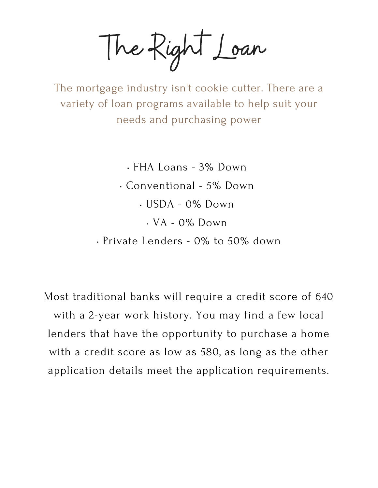The Right Loan

The mortgage industry isn't cookie cutter. There are a variety of loan programs available to help suit your needs and purchasing power

> • FHA Loans - 3% Down • Conventional - 5% Down • USDA - 0% Down • VA - 0% Down • Private Lenders - 0% to 50% down

Most traditional banks will require a credit score of 640 with a 2-year work history. You may find a few local lenders that have the opportunity to purchase a home with a credit score as low as 580, as long as the other application details meet the application requirements.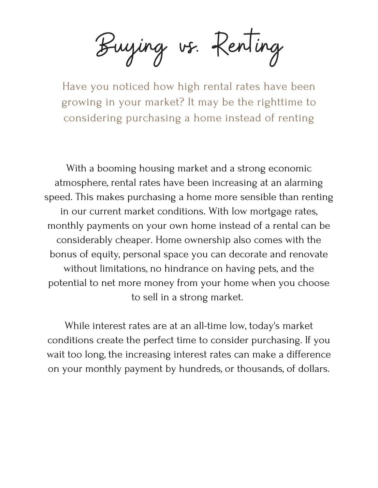Buying vs. Renting

Have you noticed how high rental rates have been growing in your market? It may be the righttime to considering purchasing a home instead of renting

With a booming housing market and a strong economic atmosphere, rental rates have been increasing at an alarming speed. This makes purchasing a home more sensible than renting in our current market conditions. With low mortgage rates, monthly payments on your own home instead of a rental can be considerably cheaper. Home ownership also comes with the bonus of equity, personal space you can decorate and renovate without limitations, no hindrance on having pets, and the potential to net more money from your home when you choose to sell in a strong market.

While interest rates are at an all-time low, today's market conditions create the perfect time to consider purchasing. If you wait too long, the increasing interest rates can make a difference on your monthly payment by hundreds, or thousands, of dollars.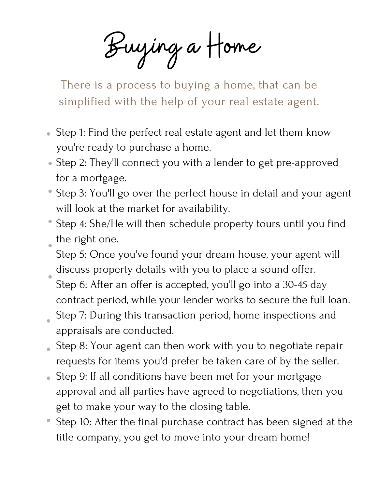Buying a Home

There is a process to buying a home, that can be simplified with the help of your real estate agent.

- Step 1: Find the perfect real estate agent and let them know you're ready to purchase a home.
- Step 2: They'll connect you with a lender to get pre-approved for a mortgage.
- Step 3: You'll go over the perfect house in detail and your agent will look at the market for availability.
- Step 4: She/He will then schedule property tours until you find the right one.
- Step 5: Once you've found your dream house, your agent will discuss property details with you to place a sound offer.
- Step 6: After an offer is accepted, you'll go into a 30-45 day contract period, while your lender works to secure the full loan.
- Step 7: During this transaction period, home inspections and appraisals are conducted.
- Step 8: Your agent can then work with you to negotiate repair requests for items you'd prefer be taken care of by the seller.
- Step 9: If all conditions have been met for your mortgage approval and all parties have agreed to negotiations, then you get to make your way to the closing table.
- Step 10: After the final purchase contract has been signed at the title company, you get to move into your dream home!